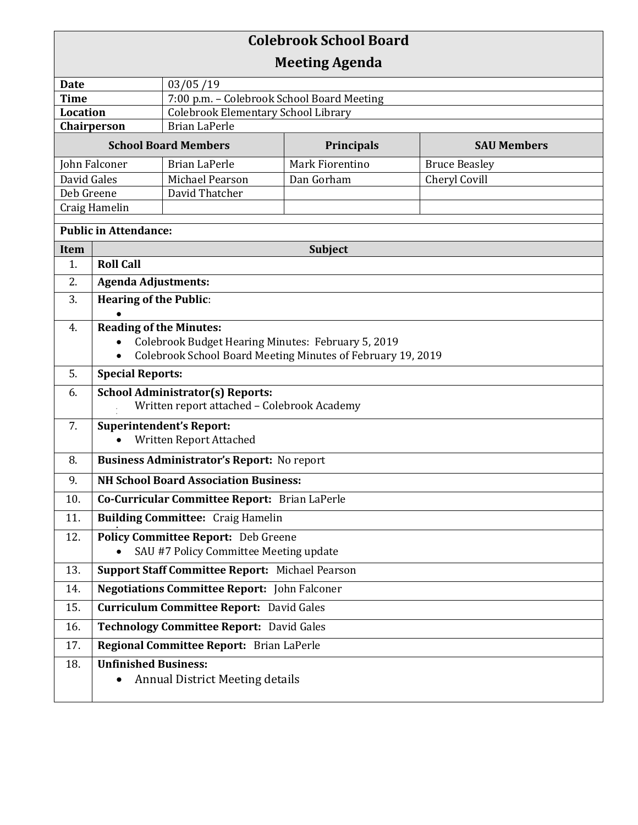| <b>Colebrook School Board</b>  |                                                                                        |                                                                    |                 |                      |  |  |
|--------------------------------|----------------------------------------------------------------------------------------|--------------------------------------------------------------------|-----------------|----------------------|--|--|
| <b>Meeting Agenda</b>          |                                                                                        |                                                                    |                 |                      |  |  |
| 03/05/19<br>Date               |                                                                                        |                                                                    |                 |                      |  |  |
| <b>Time</b>                    |                                                                                        | 7:00 p.m. - Colebrook School Board Meeting                         |                 |                      |  |  |
| <b>Location</b><br>Chairperson |                                                                                        | <b>Colebrook Elementary School Library</b><br><b>Brian LaPerle</b> |                 |                      |  |  |
| <b>School Board Members</b>    |                                                                                        | <b>Principals</b><br><b>SAU Members</b>                            |                 |                      |  |  |
| John Falconer                  |                                                                                        | <b>Brian LaPerle</b>                                               | Mark Fiorentino | <b>Bruce Beasley</b> |  |  |
| David Gales                    |                                                                                        | Michael Pearson                                                    | Dan Gorham      | Cheryl Covill        |  |  |
| Deb Greene                     |                                                                                        | David Thatcher                                                     |                 |                      |  |  |
| Craig Hamelin                  |                                                                                        |                                                                    |                 |                      |  |  |
| <b>Public in Attendance:</b>   |                                                                                        |                                                                    |                 |                      |  |  |
| Item                           | Subject                                                                                |                                                                    |                 |                      |  |  |
| 1.                             | <b>Roll Call</b>                                                                       |                                                                    |                 |                      |  |  |
| 2.                             | <b>Agenda Adjustments:</b>                                                             |                                                                    |                 |                      |  |  |
| 3.                             | <b>Hearing of the Public:</b>                                                          |                                                                    |                 |                      |  |  |
| 4.                             | <b>Reading of the Minutes:</b>                                                         |                                                                    |                 |                      |  |  |
|                                |                                                                                        | Colebrook Budget Hearing Minutes: February 5, 2019                 |                 |                      |  |  |
|                                | Colebrook School Board Meeting Minutes of February 19, 2019                            |                                                                    |                 |                      |  |  |
| 5.                             | <b>Special Reports:</b>                                                                |                                                                    |                 |                      |  |  |
| 6.                             | <b>School Administrator(s) Reports:</b><br>Written report attached - Colebrook Academy |                                                                    |                 |                      |  |  |
| 7.                             | <b>Superintendent's Report:</b>                                                        |                                                                    |                 |                      |  |  |
|                                | Written Report Attached                                                                |                                                                    |                 |                      |  |  |
| 8.                             | <b>Business Administrator's Report:</b> No report                                      |                                                                    |                 |                      |  |  |
| 9.                             | <b>NH School Board Association Business:</b>                                           |                                                                    |                 |                      |  |  |
| 10.                            | Co-Curricular Committee Report: Brian LaPerle                                          |                                                                    |                 |                      |  |  |
| 11.                            | <b>Building Committee: Craig Hamelin</b>                                               |                                                                    |                 |                      |  |  |
| 12.                            | <b>Policy Committee Report:</b> Deb Greene<br>SAU #7 Policy Committee Meeting update   |                                                                    |                 |                      |  |  |
| 13.                            | Support Staff Committee Report: Michael Pearson                                        |                                                                    |                 |                      |  |  |
| 14.                            | <b>Negotiations Committee Report:</b> John Falconer                                    |                                                                    |                 |                      |  |  |
| 15.                            | <b>Curriculum Committee Report:</b> David Gales                                        |                                                                    |                 |                      |  |  |
| 16.                            | <b>Technology Committee Report: David Gales</b>                                        |                                                                    |                 |                      |  |  |
| 17.                            | Regional Committee Report: Brian LaPerle                                               |                                                                    |                 |                      |  |  |
| 18.                            | <b>Unfinished Business:</b>                                                            |                                                                    |                 |                      |  |  |
|                                |                                                                                        | <b>Annual District Meeting details</b>                             |                 |                      |  |  |
|                                |                                                                                        |                                                                    |                 |                      |  |  |